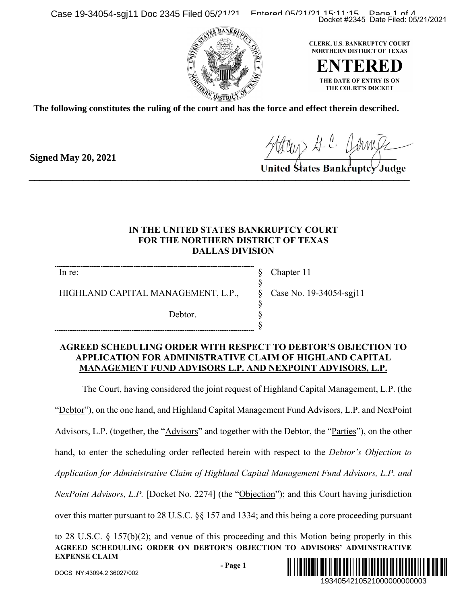Case 19-34054-sgj11 Doc 2345 Filed 05/21/21 Entered 05/21/21 15:11:15 Page 1 of 4





**The following constitutes the ruling of the court and has the force and effect therein described.**

Houry H. C. Jamile

## **IN THE UNITED STATES BANKRUPTCY COURT FOR THE NORTHERN DISTRICT OF TEXAS DALLAS DIVISION**

§ § § § § §

In re:

**Signed May 20, 2021**

HIGHLAND CAPITAL MANAGEMENT, L.P.,

Debtor.

Chapter 11 Case No. 19-34054-sgj11

## **AGREED SCHEDULING ORDER WITH RESPECT TO DEBTOR'S OBJECTION TO APPLICATION FOR ADMINISTRATIVE CLAIM OF HIGHLAND CAPITAL MANAGEMENT FUND ADVISORS L.P. AND NEXPOINT ADVISORS, L.P.**

The Court, having considered the joint request of Highland Capital Management, L.P. (the

"Debtor"), on the one hand, and Highland Capital Management Fund Advisors, L.P. and NexPoint

Advisors, L.P. (together, the "Advisors" and together with the Debtor, the "Parties"), on the other

hand, to enter the scheduling order reflected herein with respect to the *Debtor's Objection to* 

*Application for Administrative Claim of Highland Capital Management Fund Advisors, L.P. and* 

*NexPoint Advisors, L.P.* [Docket No. 2274] (the "Objection"); and this Court having jurisdiction

over this matter pursuant to 28 U.S.C. §§ 157 and 1334; and this being a core proceeding pursuant

**AGREED SCHEDULING ORDER ON DEBTOR'S OBJECTION TO ADVISORS' ADMINSTRATIVE EXPENSE CLAIM** to 28 U.S.C. § 157(b)(2); and venue of this proceeding and this Motion being properly in this

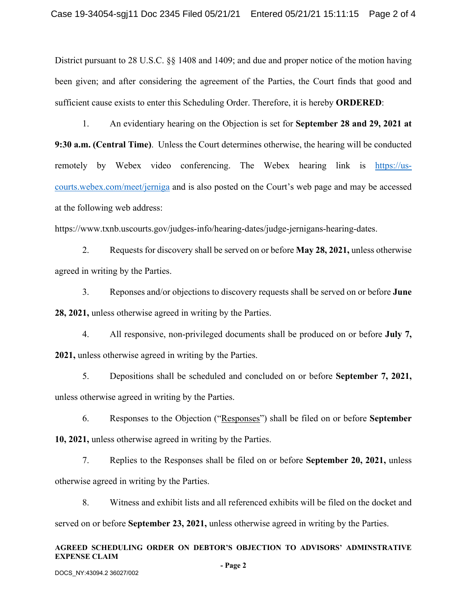District pursuant to 28 U.S.C. §§ 1408 and 1409; and due and proper notice of the motion having been given; and after considering the agreement of the Parties, the Court finds that good and sufficient cause exists to enter this Scheduling Order. Therefore, it is hereby **ORDERED**:

1. An evidentiary hearing on the Objection is set for **September 28 and 29, 2021 at 9:30 a.m. (Central Time)**. Unless the Court determines otherwise, the hearing will be conducted remotely by Webex video conferencing. The Webex hearing link is [https://us](https://us-courts.webex.com/meet/jerniga)[courts.webex.com/meet/jerniga](https://us-courts.webex.com/meet/jerniga) and is also posted on the Court's web page and may be accessed at the following web address:

https://www.txnb.uscourts.gov/judges-info/hearing-dates/judge-jernigans-hearing-dates.

2. Requests for discovery shall be served on or before **May 28, 2021,** unless otherwise agreed in writing by the Parties.

3. Reponses and/or objections to discovery requests shall be served on or before **June 28, 2021,** unless otherwise agreed in writing by the Parties.

4. All responsive, non-privileged documents shall be produced on or before **July 7, 2021,** unless otherwise agreed in writing by the Parties.

5. Depositions shall be scheduled and concluded on or before **September 7, 2021,** unless otherwise agreed in writing by the Parties.

6. Responses to the Objection ("Responses") shall be filed on or before **September 10, 2021,** unless otherwise agreed in writing by the Parties.

7. Replies to the Responses shall be filed on or before **September 20, 2021,** unless otherwise agreed in writing by the Parties.

8. Witness and exhibit lists and all referenced exhibits will be filed on the docket and served on or before **September 23, 2021,** unless otherwise agreed in writing by the Parties.

### **AGREED SCHEDULING ORDER ON DEBTOR'S OBJECTION TO ADVISORS' ADMINSTRATIVE EXPENSE CLAIM**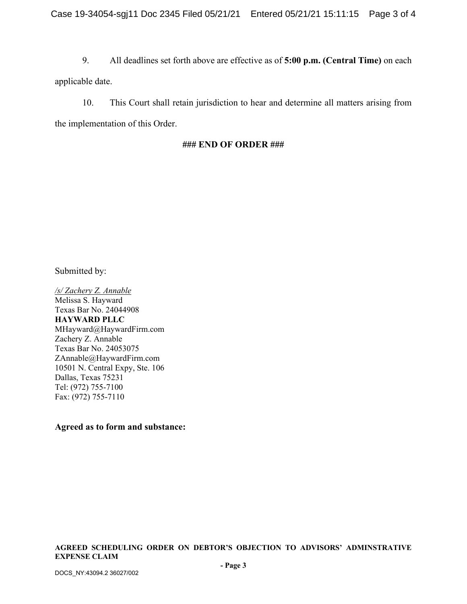9. All deadlines set forth above are effective as of **5:00 p.m. (Central Time)** on each applicable date.

10. This Court shall retain jurisdiction to hear and determine all matters arising from the implementation of this Order.

#### **### END OF ORDER ###**

Submitted by:

*/s/ Zachery Z. Annable* Melissa S. Hayward Texas Bar No. 24044908 **HAYWARD PLLC** MHayward@HaywardFirm.com Zachery Z. Annable Texas Bar No. 24053075 ZAnnable@HaywardFirm.com 10501 N. Central Expy, Ste. 106 Dallas, Texas 75231 Tel: (972) 755-7100 Fax: (972) 755-7110

**Agreed as to form and substance:**

**AGREED SCHEDULING ORDER ON DEBTOR'S OBJECTION TO ADVISORS' ADMINSTRATIVE EXPENSE CLAIM**